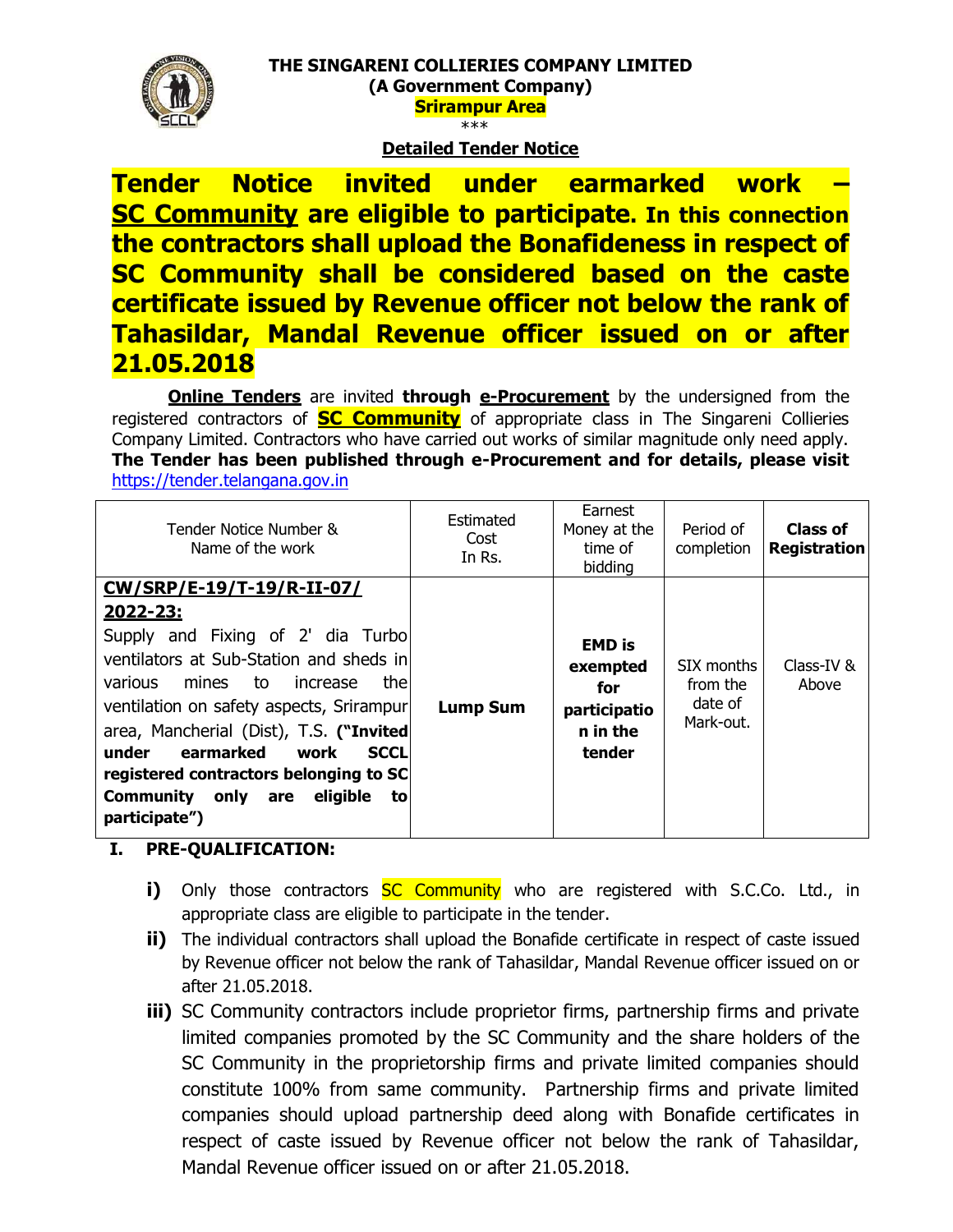

#### **THE SINGARENI COLLIERIES COMPANY LIMITED (A Government Company) Srirampur Area**  \*\*\*

### **Detailed Tender Notice**

**Tender Notice invited under earmarked work – SC Community are eligible to participate. In this connection the contractors shall upload the Bonafideness in respect of SC Community shall be considered based on the caste certificate issued by Revenue officer not below the rank of Tahasildar, Mandal Revenue officer issued on or after 21.05.2018**

**Online Tenders** are invited **through e-Procurement** by the undersigned from the registered contractors of **SC Community** of appropriate class in The Singareni Collieries Company Limited. Contractors who have carried out works of similar magnitude only need apply. **The Tender has been published through e-Procurement and for details, please visit**  [https://tender.telangana.gov.in](https://tender.telangana.gov.in/)

| Tender Notice Number &<br>Name of the work                                                                                                                                                                                                                                                                                                                                                                         | Estimated<br>Cost<br>In Rs. | Earnest<br>Money at the<br>time of<br>bidding                          | Period of<br>completion                        | Class of<br><b>Registration</b> |
|--------------------------------------------------------------------------------------------------------------------------------------------------------------------------------------------------------------------------------------------------------------------------------------------------------------------------------------------------------------------------------------------------------------------|-----------------------------|------------------------------------------------------------------------|------------------------------------------------|---------------------------------|
| CW/SRP/E-19/T-19/R-II-07/<br><u> 2022-23:</u><br>Supply and Fixing of 2' dia Turbo<br>ventilators at Sub-Station and sheds in<br>thel<br>to<br>various<br>mines<br>increase<br>ventilation on safety aspects, Srirampur<br>area, Mancherial (Dist), T.S. ("Invited<br>earmarked<br>under<br><b>SCCL</b><br>work<br>registered contractors belonging to SC<br>eligible<br>Community only are<br>to<br>participate") | <b>Lump Sum</b>             | <b>EMD</b> is<br>exempted<br>for<br>participatio<br>n in the<br>tender | SIX months<br>from the<br>date of<br>Mark-out. | Class-IV &<br>Above             |

#### **I. PRE-QUALIFICATION:**

- **i)** Only those contractors **SC Community** who are registered with S.C.Co. Ltd., in appropriate class are eligible to participate in the tender.
- **ii)** The individual contractors shall upload the Bonafide certificate in respect of caste issued by Revenue officer not below the rank of Tahasildar, Mandal Revenue officer issued on or after 21.05.2018.
- **iii)** SC Community contractors include proprietor firms, partnership firms and private limited companies promoted by the SC Community and the share holders of the SC Community in the proprietorship firms and private limited companies should constitute 100% from same community. Partnership firms and private limited companies should upload partnership deed along with Bonafide certificates in respect of caste issued by Revenue officer not below the rank of Tahasildar, Mandal Revenue officer issued on or after 21.05.2018.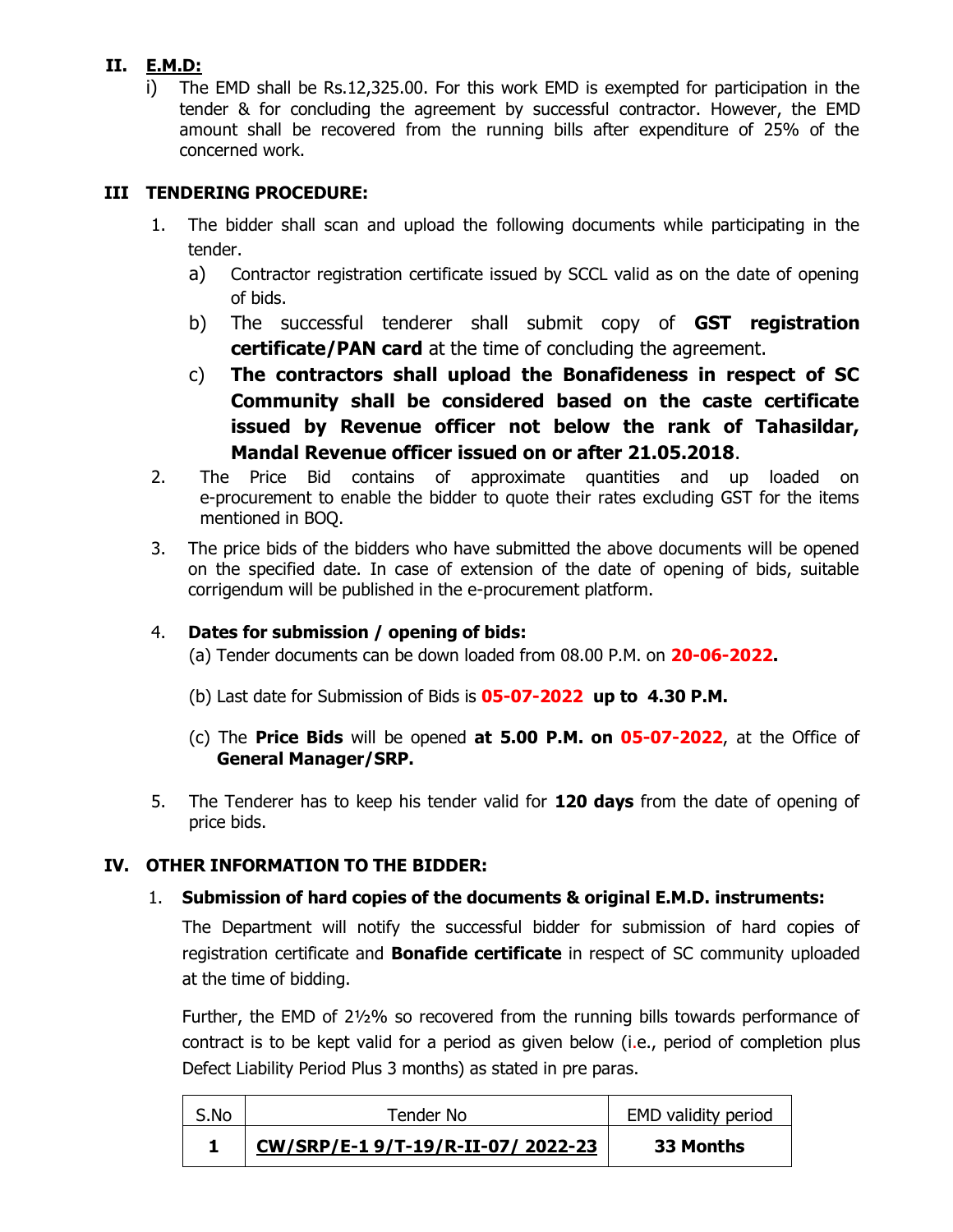# **II. E.M.D:**

i) The EMD shall be Rs.12,325.00. For this work EMD is exempted for participation in the tender & for concluding the agreement by successful contractor. However, the EMD amount shall be recovered from the running bills after expenditure of 25% of the concerned work.

# **III TENDERING PROCEDURE:**

- 1. The bidder shall scan and upload the following documents while participating in the tender.
	- a) Contractor registration certificate issued by SCCL valid as on the date of opening of bids.
	- b) The successful tenderer shall submit copy of **GST registration certificate/PAN card** at the time of concluding the agreement.
	- c) **The contractors shall upload the Bonafideness in respect of SC Community shall be considered based on the caste certificate issued by Revenue officer not below the rank of Tahasildar, Mandal Revenue officer issued on or after 21.05.2018**.
- 2. The Price Bid contains of approximate quantities and up loaded on e-procurement to enable the bidder to quote their rates excluding GST for the items mentioned in BOQ.
- 3. The price bids of the bidders who have submitted the above documents will be opened on the specified date. In case of extension of the date of opening of bids, suitable corrigendum will be published in the e-procurement platform.

# 4. **Dates for submission / opening of bids:**

(a) Tender documents can be down loaded from 08.00 P.M. on **20-06-2022.**

- (b) Last date for Submission of Bids is **05-07-2022 up to 4.30 P.M.**
- (c) The **Price Bids** will be opened **at 5.00 P.M. on 05-07-2022**, at the Office of **General Manager/SRP.**
- 5. The Tenderer has to keep his tender valid for **120 days** from the date of opening of price bids.

# **IV. OTHER INFORMATION TO THE BIDDER:**

# 1. **Submission of hard copies of the documents & original E.M.D. instruments:**

The Department will notify the successful bidder for submission of hard copies of registration certificate and **Bonafide certificate** in respect of SC community uploaded at the time of bidding.

Further, the EMD of 2½% so recovered from the running bills towards performance of contract is to be kept valid for a period as given below (i.e., period of completion plus Defect Liability Period Plus 3 months) as stated in pre paras.

| S.No | Tender No                        | EMD validity period |  |
|------|----------------------------------|---------------------|--|
|      | CW/SRP/E-19/T-19/R-II-07/2022-23 | 33 Months           |  |